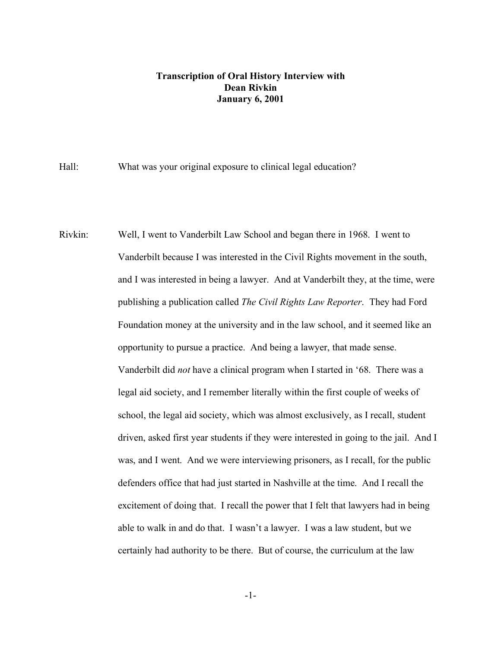## **Transcription of Oral History Interview with Dean Rivkin January 6, 2001**

Hall: What was your original exposure to clinical legal education?

Rivkin: Well, I went to Vanderbilt Law School and began there in 1968. I went to Vanderbilt because I was interested in the Civil Rights movement in the south, and I was interested in being a lawyer. And at Vanderbilt they, at the time, were publishing a publication called *The Civil Rights Law Reporter*. They had Ford Foundation money at the university and in the law school, and it seemed like an opportunity to pursue a practice. And being a lawyer, that made sense. Vanderbilt did *not* have a clinical program when I started in '68. There was a legal aid society, and I remember literally within the first couple of weeks of school, the legal aid society, which was almost exclusively, as I recall, student driven, asked first year students if they were interested in going to the jail. And I was, and I went. And we were interviewing prisoners, as I recall, for the public defenders office that had just started in Nashville at the time. And I recall the excitement of doing that. I recall the power that I felt that lawyers had in being able to walk in and do that. I wasn't a lawyer. I was a law student, but we certainly had authority to be there. But of course, the curriculum at the law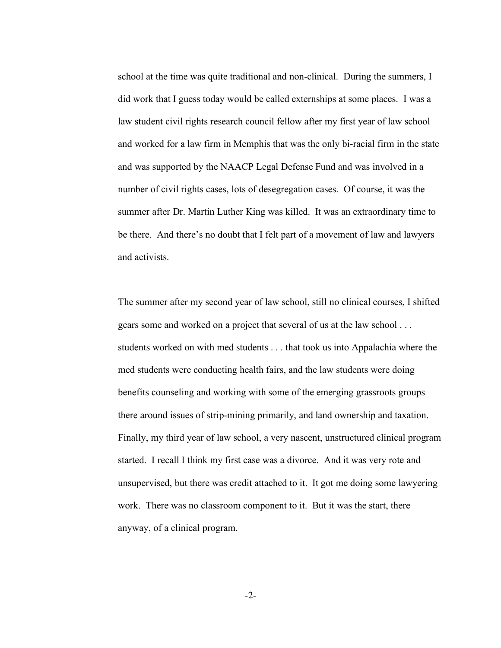school at the time was quite traditional and non-clinical. During the summers, I did work that I guess today would be called externships at some places. I was a law student civil rights research council fellow after my first year of law school and worked for a law firm in Memphis that was the only bi-racial firm in the state and was supported by the NAACP Legal Defense Fund and was involved in a number of civil rights cases, lots of desegregation cases. Of course, it was the summer after Dr. Martin Luther King was killed. It was an extraordinary time to be there. And there's no doubt that I felt part of a movement of law and lawyers and activists.

The summer after my second year of law school, still no clinical courses, I shifted gears some and worked on a project that several of us at the law school . . . students worked on with med students . . . that took us into Appalachia where the med students were conducting health fairs, and the law students were doing benefits counseling and working with some of the emerging grassroots groups there around issues of strip-mining primarily, and land ownership and taxation. Finally, my third year of law school, a very nascent, unstructured clinical program started. I recall I think my first case was a divorce. And it was very rote and unsupervised, but there was credit attached to it. It got me doing some lawyering work. There was no classroom component to it. But it was the start, there anyway, of a clinical program.

-2-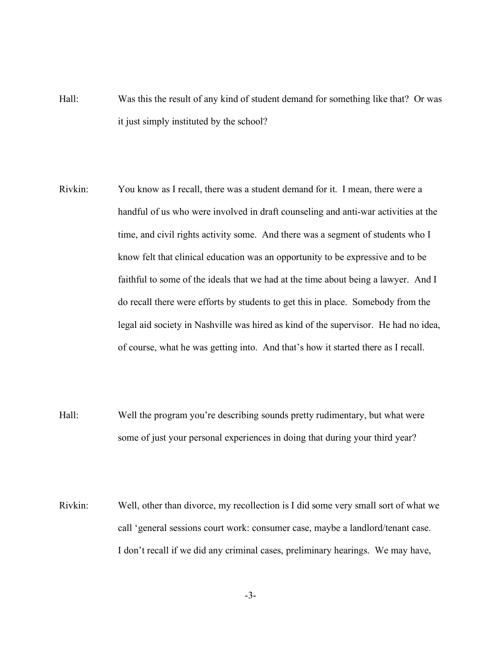- Hall: Was this the result of any kind of student demand for something like that? Or was it just simply instituted by the school?
- Rivkin: You know as I recall, there was a student demand for it. I mean, there were a handful of us who were involved in draft counseling and anti-war activities at the time, and civil rights activity some. And there was a segment of students who I know felt that clinical education was an opportunity to be expressive and to be faithful to some of the ideals that we had at the time about being a lawyer. And I do recall there were efforts by students to get this in place. Somebody from the legal aid society in Nashville was hired as kind of the supervisor. He had no idea, of course, what he was getting into. And that's how it started there as I recall.
- Hall: Well the program you're describing sounds pretty rudimentary, but what were some of just your personal experiences in doing that during your third year?
- Rivkin: Well, other than divorce, my recollection is I did some very small sort of what we call 'general sessions court work: consumer case, maybe a landlord/tenant case. I don't recall if we did any criminal cases, preliminary hearings. We may have,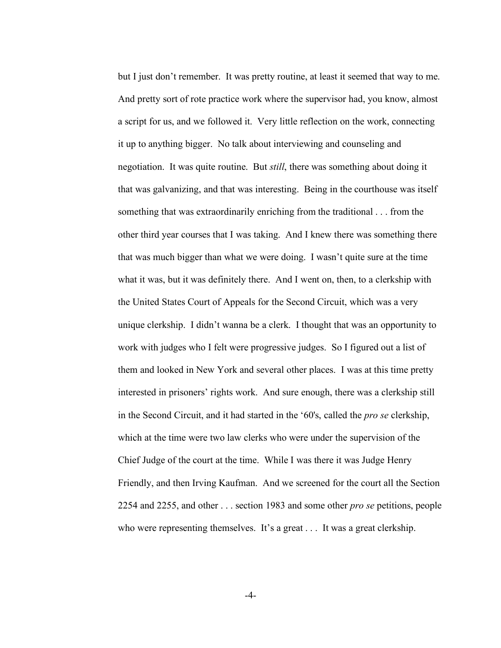but I just don't remember. It was pretty routine, at least it seemed that way to me. And pretty sort of rote practice work where the supervisor had, you know, almost a script for us, and we followed it. Very little reflection on the work, connecting it up to anything bigger. No talk about interviewing and counseling and negotiation. It was quite routine. But *still*, there was something about doing it that was galvanizing, and that was interesting. Being in the courthouse was itself something that was extraordinarily enriching from the traditional . . . from the other third year courses that I was taking. And I knew there was something there that was much bigger than what we were doing. I wasn't quite sure at the time what it was, but it was definitely there. And I went on, then, to a clerkship with the United States Court of Appeals for the Second Circuit, which was a very unique clerkship. I didn't wanna be a clerk. I thought that was an opportunity to work with judges who I felt were progressive judges. So I figured out a list of them and looked in New York and several other places. I was at this time pretty interested in prisoners' rights work. And sure enough, there was a clerkship still in the Second Circuit, and it had started in the '60's, called the *pro se* clerkship, which at the time were two law clerks who were under the supervision of the Chief Judge of the court at the time. While I was there it was Judge Henry Friendly, and then Irving Kaufman. And we screened for the court all the Section 2254 and 2255, and other . . . section 1983 and some other *pro se* petitions, people who were representing themselves. It's a great . . . It was a great clerkship.

-4-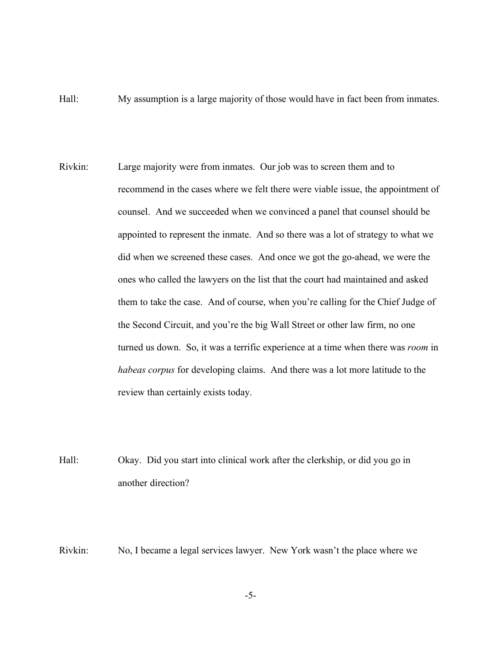- Hall: My assumption is a large majority of those would have in fact been from inmates.
- Rivkin: Large majority were from inmates. Our job was to screen them and to recommend in the cases where we felt there were viable issue, the appointment of counsel. And we succeeded when we convinced a panel that counsel should be appointed to represent the inmate. And so there was a lot of strategy to what we did when we screened these cases. And once we got the go-ahead, we were the ones who called the lawyers on the list that the court had maintained and asked them to take the case. And of course, when you're calling for the Chief Judge of the Second Circuit, and you're the big Wall Street or other law firm, no one turned us down. So, it was a terrific experience at a time when there was *room* in *habeas corpus* for developing claims. And there was a lot more latitude to the review than certainly exists today.
- Hall: Okay. Did you start into clinical work after the clerkship, or did you go in another direction?

Rivkin: No, I became a legal services lawyer. New York wasn't the place where we

-5-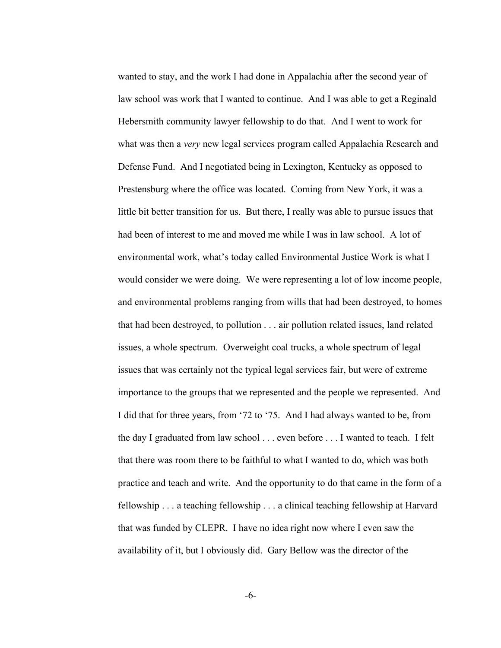wanted to stay, and the work I had done in Appalachia after the second year of law school was work that I wanted to continue. And I was able to get a Reginald Hebersmith community lawyer fellowship to do that. And I went to work for what was then a *very* new legal services program called Appalachia Research and Defense Fund. And I negotiated being in Lexington, Kentucky as opposed to Prestensburg where the office was located. Coming from New York, it was a little bit better transition for us. But there, I really was able to pursue issues that had been of interest to me and moved me while I was in law school. A lot of environmental work, what's today called Environmental Justice Work is what I would consider we were doing. We were representing a lot of low income people, and environmental problems ranging from wills that had been destroyed, to homes that had been destroyed, to pollution . . . air pollution related issues, land related issues, a whole spectrum. Overweight coal trucks, a whole spectrum of legal issues that was certainly not the typical legal services fair, but were of extreme importance to the groups that we represented and the people we represented. And I did that for three years, from '72 to '75. And I had always wanted to be, from the day I graduated from law school . . . even before . . . I wanted to teach. I felt that there was room there to be faithful to what I wanted to do, which was both practice and teach and write. And the opportunity to do that came in the form of a fellowship . . . a teaching fellowship . . . a clinical teaching fellowship at Harvard that was funded by CLEPR. I have no idea right now where I even saw the availability of it, but I obviously did. Gary Bellow was the director of the

-6-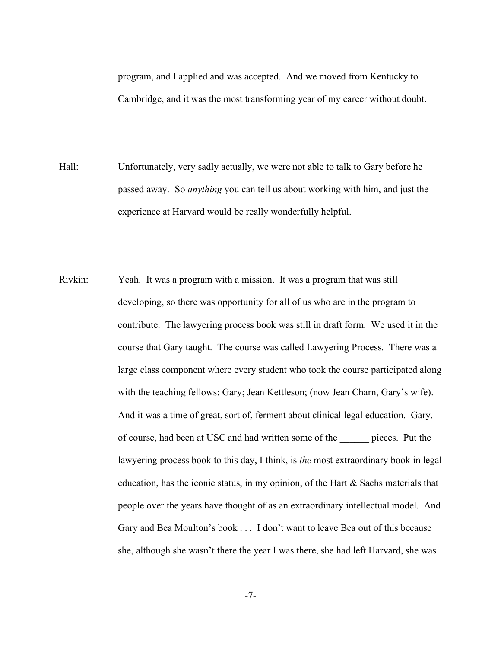program, and I applied and was accepted. And we moved from Kentucky to Cambridge, and it was the most transforming year of my career without doubt.

- Hall: Unfortunately, very sadly actually, we were not able to talk to Gary before he passed away. So *anything* you can tell us about working with him, and just the experience at Harvard would be really wonderfully helpful.
- Rivkin: Yeah. It was a program with a mission. It was a program that was still developing, so there was opportunity for all of us who are in the program to contribute. The lawyering process book was still in draft form. We used it in the course that Gary taught. The course was called Lawyering Process. There was a large class component where every student who took the course participated along with the teaching fellows: Gary; Jean Kettleson; (now Jean Charn, Gary's wife). And it was a time of great, sort of, ferment about clinical legal education. Gary, of course, had been at USC and had written some of the \_\_\_\_\_\_ pieces. Put the lawyering process book to this day, I think, is *the* most extraordinary book in legal education, has the iconic status, in my opinion, of the Hart & Sachs materials that people over the years have thought of as an extraordinary intellectual model. And Gary and Bea Moulton's book . . . I don't want to leave Bea out of this because she, although she wasn't there the year I was there, she had left Harvard, she was

-7-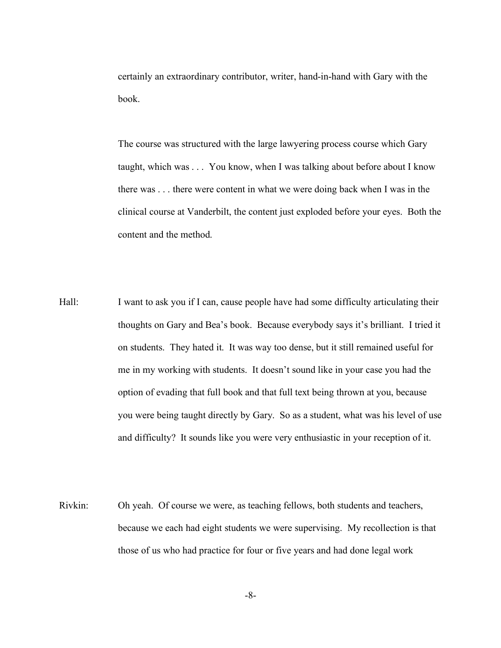certainly an extraordinary contributor, writer, hand-in-hand with Gary with the book.

The course was structured with the large lawyering process course which Gary taught, which was . . . You know, when I was talking about before about I know there was . . . there were content in what we were doing back when I was in the clinical course at Vanderbilt, the content just exploded before your eyes. Both the content and the method.

- Hall: I want to ask you if I can, cause people have had some difficulty articulating their thoughts on Gary and Bea's book. Because everybody says it's brilliant. I tried it on students. They hated it. It was way too dense, but it still remained useful for me in my working with students. It doesn't sound like in your case you had the option of evading that full book and that full text being thrown at you, because you were being taught directly by Gary. So as a student, what was his level of use and difficulty? It sounds like you were very enthusiastic in your reception of it.
- Rivkin: Oh yeah. Of course we were, as teaching fellows, both students and teachers, because we each had eight students we were supervising. My recollection is that those of us who had practice for four or five years and had done legal work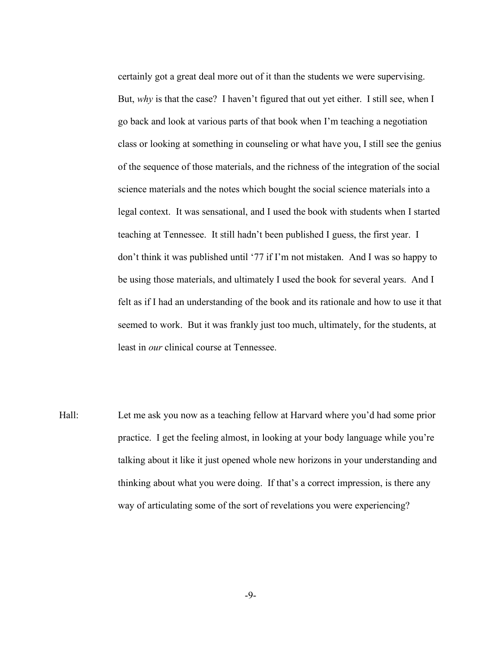certainly got a great deal more out of it than the students we were supervising. But, *why* is that the case? I haven't figured that out yet either. I still see, when I go back and look at various parts of that book when I'm teaching a negotiation class or looking at something in counseling or what have you, I still see the genius of the sequence of those materials, and the richness of the integration of the social science materials and the notes which bought the social science materials into a legal context. It was sensational, and I used the book with students when I started teaching at Tennessee. It still hadn't been published I guess, the first year. I don't think it was published until '77 if I'm not mistaken. And I was so happy to be using those materials, and ultimately I used the book for several years. And I felt as if I had an understanding of the book and its rationale and how to use it that seemed to work. But it was frankly just too much, ultimately, for the students, at least in *our* clinical course at Tennessee.

Hall: Let me ask you now as a teaching fellow at Harvard where you'd had some prior practice. I get the feeling almost, in looking at your body language while you're talking about it like it just opened whole new horizons in your understanding and thinking about what you were doing. If that's a correct impression, is there any way of articulating some of the sort of revelations you were experiencing?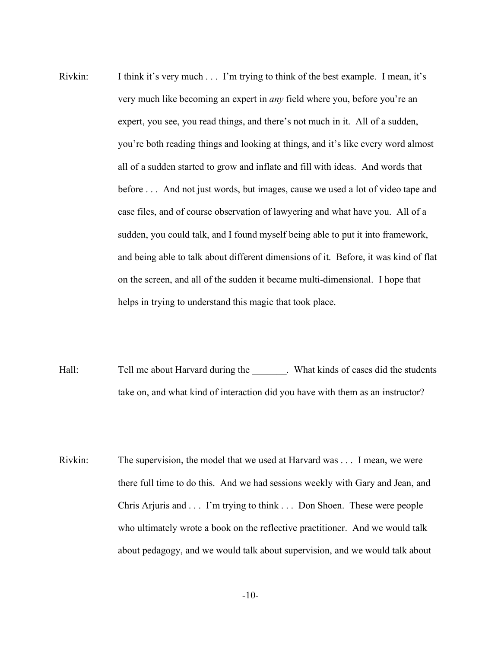- Rivkin: I think it's very much . . . I'm trying to think of the best example. I mean, it's very much like becoming an expert in *any* field where you, before you're an expert, you see, you read things, and there's not much in it. All of a sudden, you're both reading things and looking at things, and it's like every word almost all of a sudden started to grow and inflate and fill with ideas. And words that before . . . And not just words, but images, cause we used a lot of video tape and case files, and of course observation of lawyering and what have you. All of a sudden, you could talk, and I found myself being able to put it into framework, and being able to talk about different dimensions of it. Before, it was kind of flat on the screen, and all of the sudden it became multi-dimensional. I hope that helps in trying to understand this magic that took place.
- Hall: Tell me about Harvard during the Number 2011. What kinds of cases did the students take on, and what kind of interaction did you have with them as an instructor?
- Rivkin: The supervision, the model that we used at Harvard was . . . I mean, we were there full time to do this. And we had sessions weekly with Gary and Jean, and Chris Arjuris and . . . I'm trying to think . . . Don Shoen. These were people who ultimately wrote a book on the reflective practitioner. And we would talk about pedagogy, and we would talk about supervision, and we would talk about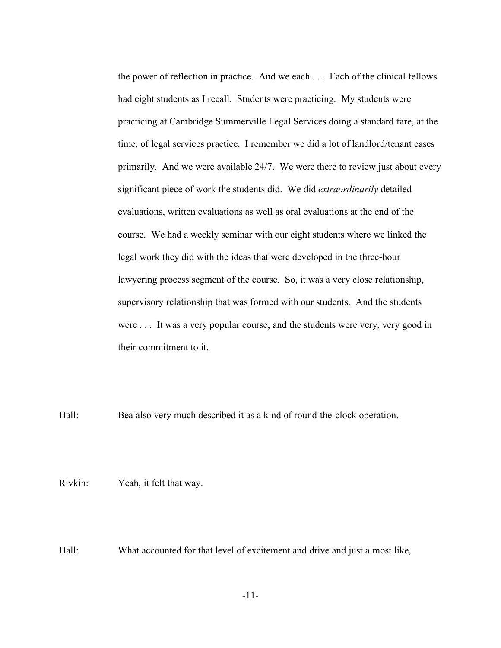the power of reflection in practice. And we each . . . Each of the clinical fellows had eight students as I recall. Students were practicing. My students were practicing at Cambridge Summerville Legal Services doing a standard fare, at the time, of legal services practice. I remember we did a lot of landlord/tenant cases primarily. And we were available 24/7. We were there to review just about every significant piece of work the students did. We did *extraordinarily* detailed evaluations, written evaluations as well as oral evaluations at the end of the course. We had a weekly seminar with our eight students where we linked the legal work they did with the ideas that were developed in the three-hour lawyering process segment of the course. So, it was a very close relationship, supervisory relationship that was formed with our students. And the students were . . . It was a very popular course, and the students were very, very good in their commitment to it.

Hall: Bea also very much described it as a kind of round-the-clock operation.

Rivkin: Yeah, it felt that way.

Hall: What accounted for that level of excitement and drive and just almost like,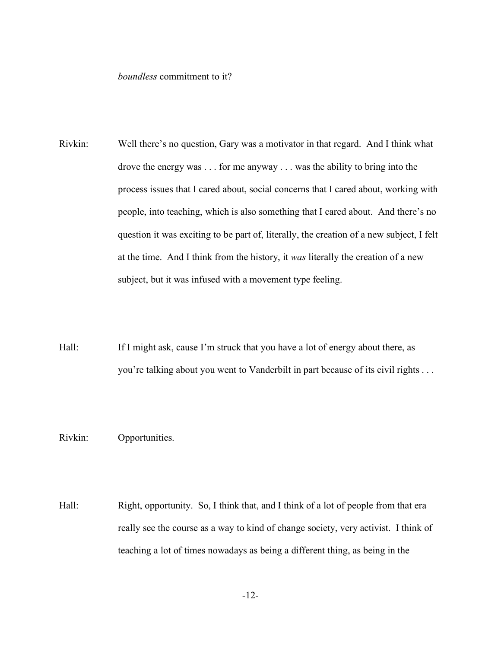## *boundless* commitment to it?

- Rivkin: Well there's no question, Gary was a motivator in that regard. And I think what drove the energy was . . . for me anyway . . . was the ability to bring into the process issues that I cared about, social concerns that I cared about, working with people, into teaching, which is also something that I cared about. And there's no question it was exciting to be part of, literally, the creation of a new subject, I felt at the time. And I think from the history, it *was* literally the creation of a new subject, but it was infused with a movement type feeling.
- Hall: If I might ask, cause I'm struck that you have a lot of energy about there, as you're talking about you went to Vanderbilt in part because of its civil rights . . .

## Rivkin: Opportunities.

Hall: Right, opportunity. So, I think that, and I think of a lot of people from that era really see the course as a way to kind of change society, very activist. I think of teaching a lot of times nowadays as being a different thing, as being in the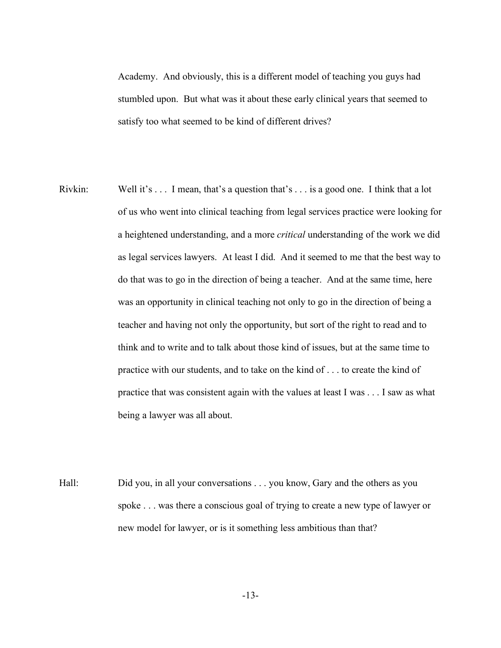Academy. And obviously, this is a different model of teaching you guys had stumbled upon. But what was it about these early clinical years that seemed to satisfy too what seemed to be kind of different drives?

- Rivkin: Well it's . . . I mean, that's a question that's . . . is a good one. I think that a lot of us who went into clinical teaching from legal services practice were looking for a heightened understanding, and a more *critical* understanding of the work we did as legal services lawyers. At least I did. And it seemed to me that the best way to do that was to go in the direction of being a teacher. And at the same time, here was an opportunity in clinical teaching not only to go in the direction of being a teacher and having not only the opportunity, but sort of the right to read and to think and to write and to talk about those kind of issues, but at the same time to practice with our students, and to take on the kind of . . . to create the kind of practice that was consistent again with the values at least I was . . . I saw as what being a lawyer was all about.
- Hall: Did you, in all your conversations . . . you know, Gary and the others as you spoke . . . was there a conscious goal of trying to create a new type of lawyer or new model for lawyer, or is it something less ambitious than that?

-13-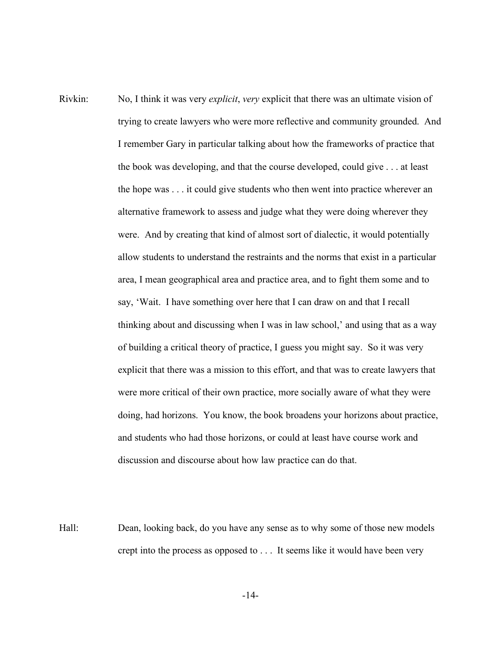- Rivkin: No, I think it was very *explicit*, *very* explicit that there was an ultimate vision of trying to create lawyers who were more reflective and community grounded. And I remember Gary in particular talking about how the frameworks of practice that the book was developing, and that the course developed, could give . . . at least the hope was . . . it could give students who then went into practice wherever an alternative framework to assess and judge what they were doing wherever they were. And by creating that kind of almost sort of dialectic, it would potentially allow students to understand the restraints and the norms that exist in a particular area, I mean geographical area and practice area, and to fight them some and to say, 'Wait. I have something over here that I can draw on and that I recall thinking about and discussing when I was in law school,' and using that as a way of building a critical theory of practice, I guess you might say. So it was very explicit that there was a mission to this effort, and that was to create lawyers that were more critical of their own practice, more socially aware of what they were doing, had horizons. You know, the book broadens your horizons about practice, and students who had those horizons, or could at least have course work and discussion and discourse about how law practice can do that.
- Hall: Dean, looking back, do you have any sense as to why some of those new models crept into the process as opposed to . . . It seems like it would have been very

-14-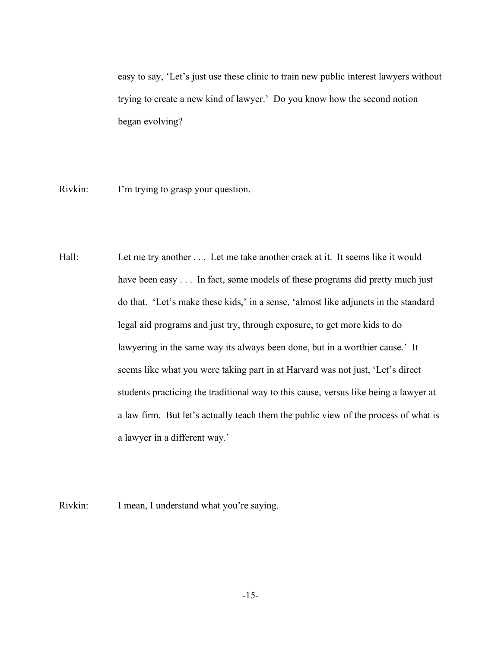easy to say, 'Let's just use these clinic to train new public interest lawyers without trying to create a new kind of lawyer.' Do you know how the second notion began evolving?

Rivkin: I'm trying to grasp your question.

Hall: Let me try another ... Let me take another crack at it. It seems like it would have been easy . . . In fact, some models of these programs did pretty much just do that. 'Let's make these kids,' in a sense, 'almost like adjuncts in the standard legal aid programs and just try, through exposure, to get more kids to do lawyering in the same way its always been done, but in a worthier cause.' It seems like what you were taking part in at Harvard was not just, 'Let's direct students practicing the traditional way to this cause, versus like being a lawyer at a law firm. But let's actually teach them the public view of the process of what is a lawyer in a different way.'

Rivkin: I mean, I understand what you're saying.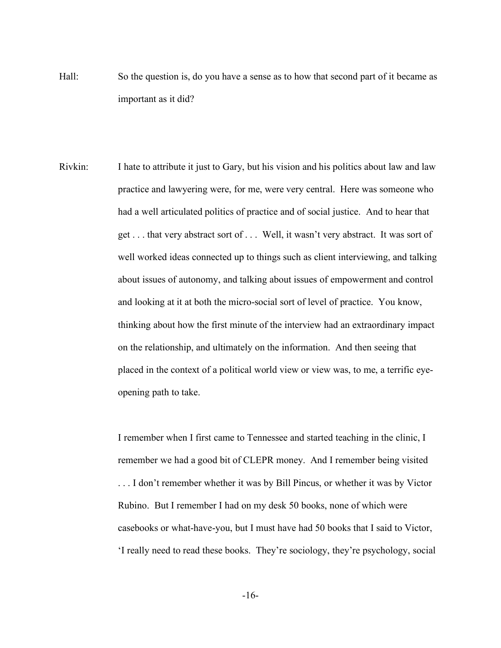- Hall: So the question is, do you have a sense as to how that second part of it became as important as it did?
- Rivkin: I hate to attribute it just to Gary, but his vision and his politics about law and law practice and lawyering were, for me, were very central. Here was someone who had a well articulated politics of practice and of social justice. And to hear that get . . . that very abstract sort of . . . Well, it wasn't very abstract. It was sort of well worked ideas connected up to things such as client interviewing, and talking about issues of autonomy, and talking about issues of empowerment and control and looking at it at both the micro-social sort of level of practice. You know, thinking about how the first minute of the interview had an extraordinary impact on the relationship, and ultimately on the information. And then seeing that placed in the context of a political world view or view was, to me, a terrific eyeopening path to take.

I remember when I first came to Tennessee and started teaching in the clinic, I remember we had a good bit of CLEPR money. And I remember being visited . . . I don't remember whether it was by Bill Pincus, or whether it was by Victor Rubino. But I remember I had on my desk 50 books, none of which were casebooks or what-have-you, but I must have had 50 books that I said to Victor, 'I really need to read these books. They're sociology, they're psychology, social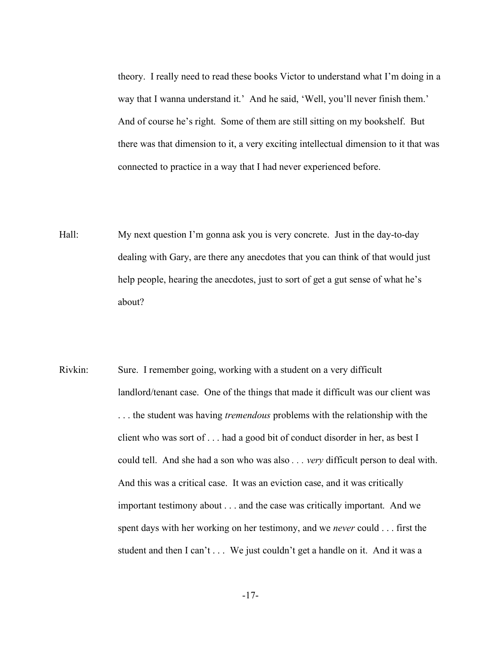theory. I really need to read these books Victor to understand what I'm doing in a way that I wanna understand it.' And he said, 'Well, you'll never finish them.' And of course he's right. Some of them are still sitting on my bookshelf. But there was that dimension to it, a very exciting intellectual dimension to it that was connected to practice in a way that I had never experienced before.

- Hall: My next question I'm gonna ask you is very concrete. Just in the day-to-day dealing with Gary, are there any anecdotes that you can think of that would just help people, hearing the anecdotes, just to sort of get a gut sense of what he's about?
- Rivkin: Sure. I remember going, working with a student on a very difficult landlord/tenant case. One of the things that made it difficult was our client was . . . the student was having *tremendous* problems with the relationship with the client who was sort of . . . had a good bit of conduct disorder in her, as best I could tell. And she had a son who was also *. . . very* difficult person to deal with. And this was a critical case. It was an eviction case, and it was critically important testimony about . . . and the case was critically important. And we spent days with her working on her testimony, and we *never* could . . . first the student and then I can't . . . We just couldn't get a handle on it. And it was a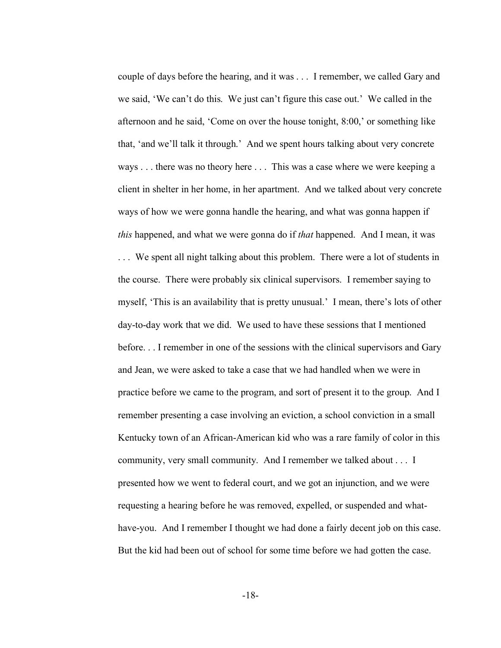couple of days before the hearing, and it was . . . I remember, we called Gary and we said, 'We can't do this. We just can't figure this case out.' We called in the afternoon and he said, 'Come on over the house tonight, 8:00,' or something like that, 'and we'll talk it through.' And we spent hours talking about very concrete ways . . . there was no theory here . . . This was a case where we were keeping a client in shelter in her home, in her apartment. And we talked about very concrete ways of how we were gonna handle the hearing, and what was gonna happen if *this* happened, and what we were gonna do if *that* happened. And I mean, it was . . . We spent all night talking about this problem. There were a lot of students in the course. There were probably six clinical supervisors. I remember saying to myself, 'This is an availability that is pretty unusual.' I mean, there's lots of other day-to-day work that we did. We used to have these sessions that I mentioned before. . . I remember in one of the sessions with the clinical supervisors and Gary and Jean, we were asked to take a case that we had handled when we were in practice before we came to the program, and sort of present it to the group. And I remember presenting a case involving an eviction, a school conviction in a small Kentucky town of an African-American kid who was a rare family of color in this community, very small community. And I remember we talked about . . . I presented how we went to federal court, and we got an injunction, and we were requesting a hearing before he was removed, expelled, or suspended and whathave-you. And I remember I thought we had done a fairly decent job on this case. But the kid had been out of school for some time before we had gotten the case.

-18-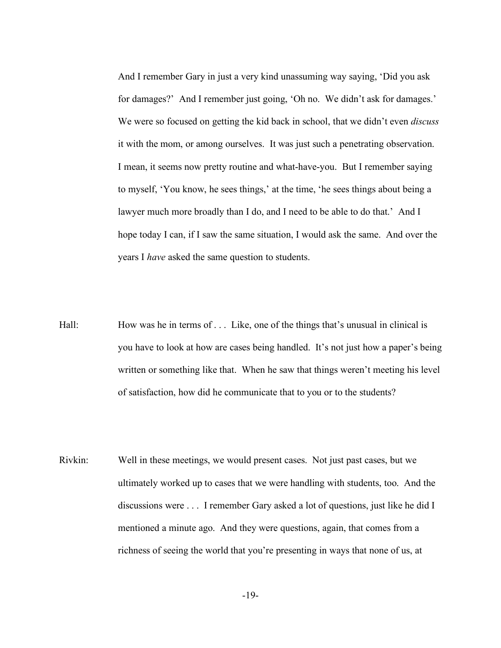And I remember Gary in just a very kind unassuming way saying, 'Did you ask for damages?' And I remember just going, 'Oh no. We didn't ask for damages.' We were so focused on getting the kid back in school, that we didn't even *discuss* it with the mom, or among ourselves. It was just such a penetrating observation. I mean, it seems now pretty routine and what-have-you. But I remember saying to myself, 'You know, he sees things,' at the time, 'he sees things about being a lawyer much more broadly than I do, and I need to be able to do that.' And I hope today I can, if I saw the same situation, I would ask the same. And over the years I *have* asked the same question to students.

- Hall: How was he in terms of . . . Like, one of the things that's unusual in clinical is you have to look at how are cases being handled. It's not just how a paper's being written or something like that. When he saw that things weren't meeting his level of satisfaction, how did he communicate that to you or to the students?
- Rivkin: Well in these meetings, we would present cases. Not just past cases, but we ultimately worked up to cases that we were handling with students, too. And the discussions were . . . I remember Gary asked a lot of questions, just like he did I mentioned a minute ago. And they were questions, again, that comes from a richness of seeing the world that you're presenting in ways that none of us, at

-19-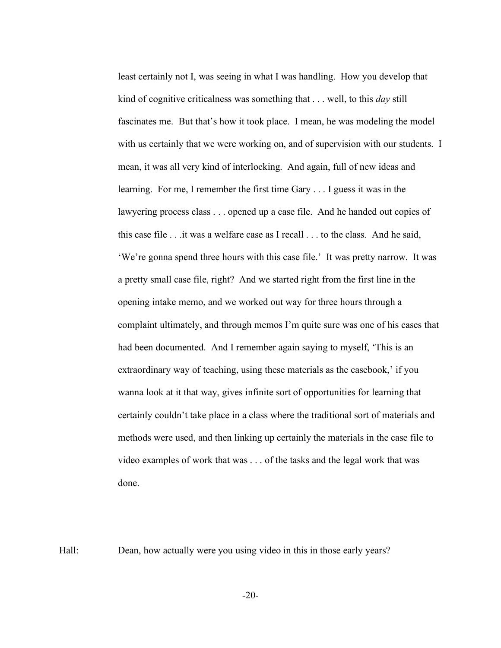least certainly not I, was seeing in what I was handling. How you develop that kind of cognitive criticalness was something that . . . well, to this *day* still fascinates me. But that's how it took place. I mean, he was modeling the model with us certainly that we were working on, and of supervision with our students. I mean, it was all very kind of interlocking. And again, full of new ideas and learning. For me, I remember the first time Gary . . . I guess it was in the lawyering process class . . . opened up a case file. And he handed out copies of this case file . . .it was a welfare case as I recall . . . to the class. And he said, 'We're gonna spend three hours with this case file.' It was pretty narrow. It was a pretty small case file, right? And we started right from the first line in the opening intake memo, and we worked out way for three hours through a complaint ultimately, and through memos I'm quite sure was one of his cases that had been documented. And I remember again saying to myself, 'This is an extraordinary way of teaching, using these materials as the casebook,' if you wanna look at it that way, gives infinite sort of opportunities for learning that certainly couldn't take place in a class where the traditional sort of materials and methods were used, and then linking up certainly the materials in the case file to video examples of work that was . . . of the tasks and the legal work that was done.

Hall: Dean, how actually were you using video in this in those early years?

-20-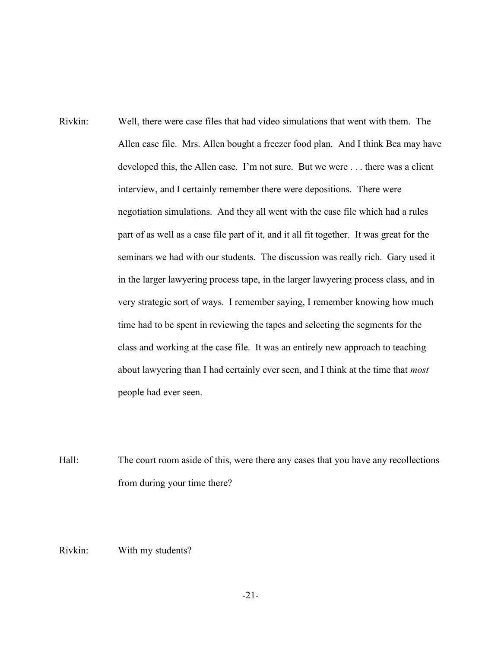- Rivkin: Well, there were case files that had video simulations that went with them. The Allen case file. Mrs. Allen bought a freezer food plan. And I think Bea may have developed this, the Allen case. I'm not sure. But we were . . . there was a client interview, and I certainly remember there were depositions. There were negotiation simulations. And they all went with the case file which had a rules part of as well as a case file part of it, and it all fit together. It was great for the seminars we had with our students. The discussion was really rich. Gary used it in the larger lawyering process tape, in the larger lawyering process class, and in very strategic sort of ways. I remember saying, I remember knowing how much time had to be spent in reviewing the tapes and selecting the segments for the class and working at the case file. It was an entirely new approach to teaching about lawyering than I had certainly ever seen, and I think at the time that *most* people had ever seen.
- Hall: The court room aside of this, were there any cases that you have any recollections from during your time there?

Rivkin: With my students?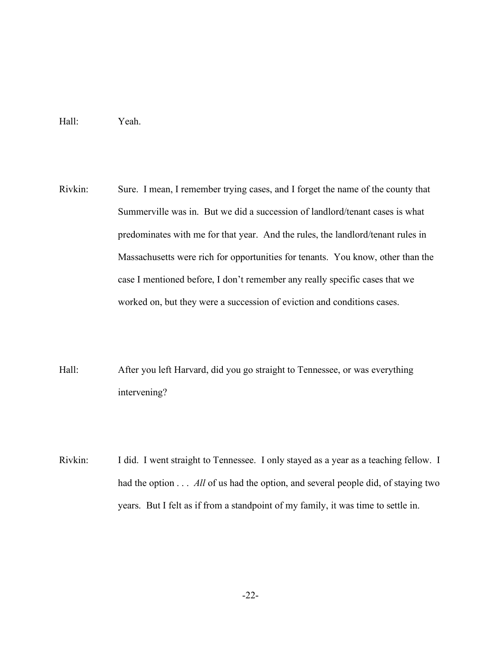## Hall: Yeah.

- Rivkin: Sure. I mean, I remember trying cases, and I forget the name of the county that Summerville was in. But we did a succession of landlord/tenant cases is what predominates with me for that year. And the rules, the landlord/tenant rules in Massachusetts were rich for opportunities for tenants. You know, other than the case I mentioned before, I don't remember any really specific cases that we worked on, but they were a succession of eviction and conditions cases.
- Hall: After you left Harvard, did you go straight to Tennessee, or was everything intervening?
- Rivkin: I did. I went straight to Tennessee. I only stayed as a year as a teaching fellow. I had the option  $\dots$  *All* of us had the option, and several people did, of staying two years. But I felt as if from a standpoint of my family, it was time to settle in.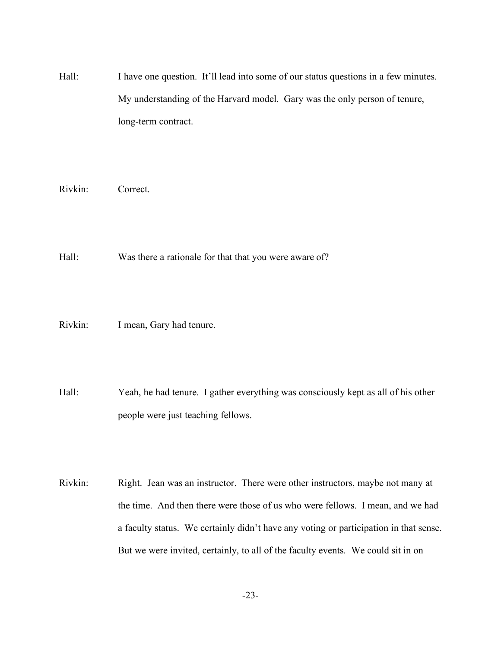Hall: I have one question. It'll lead into some of our status questions in a few minutes. My understanding of the Harvard model. Gary was the only person of tenure, long-term contract.

Rivkin: Correct.

Hall: Was there a rationale for that that you were aware of?

- Rivkin: I mean, Gary had tenure.
- Hall: Yeah, he had tenure. I gather everything was consciously kept as all of his other people were just teaching fellows.
- Rivkin: Right. Jean was an instructor. There were other instructors, maybe not many at the time. And then there were those of us who were fellows. I mean, and we had a faculty status. We certainly didn't have any voting or participation in that sense. But we were invited, certainly, to all of the faculty events. We could sit in on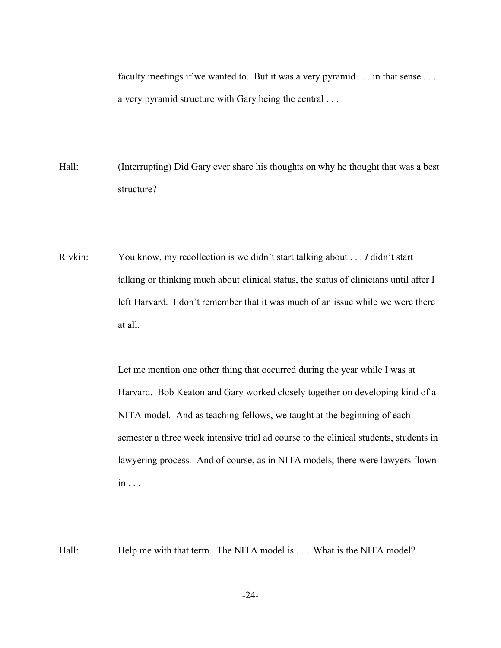faculty meetings if we wanted to. But it was a very pyramid . . . in that sense . . . a very pyramid structure with Gary being the central . . .

- Hall: (Interrupting) Did Gary ever share his thoughts on why he thought that was a best structure?
- Rivkin: You know, my recollection is we didn't start talking about . . . *I* didn't start talking or thinking much about clinical status, the status of clinicians until after I left Harvard. I don't remember that it was much of an issue while we were there at all.

Let me mention one other thing that occurred during the year while I was at Harvard. Bob Keaton and Gary worked closely together on developing kind of a NITA model. And as teaching fellows, we taught at the beginning of each semester a three week intensive trial ad course to the clinical students, students in lawyering process. And of course, as in NITA models, there were lawyers flown in . . .

Hall: Help me with that term. The NITA model is . . . What is the NITA model?

-24-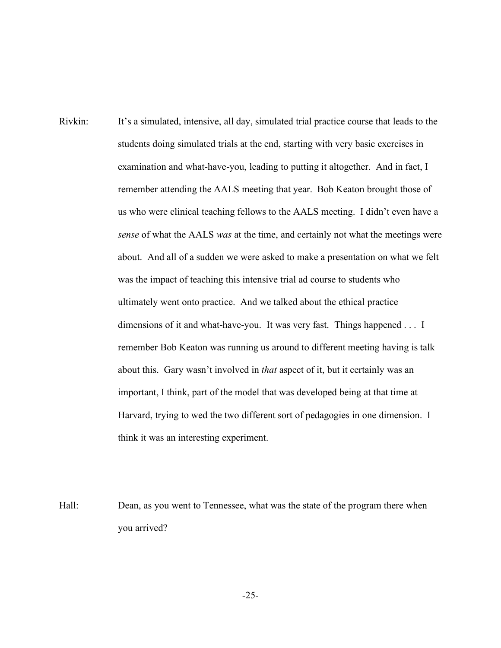- Rivkin: It's a simulated, intensive, all day, simulated trial practice course that leads to the students doing simulated trials at the end, starting with very basic exercises in examination and what-have-you, leading to putting it altogether. And in fact, I remember attending the AALS meeting that year. Bob Keaton brought those of us who were clinical teaching fellows to the AALS meeting. I didn't even have a *sense* of what the AALS *was* at the time, and certainly not what the meetings were about. And all of a sudden we were asked to make a presentation on what we felt was the impact of teaching this intensive trial ad course to students who ultimately went onto practice. And we talked about the ethical practice dimensions of it and what-have-you. It was very fast. Things happened . . . I remember Bob Keaton was running us around to different meeting having is talk about this. Gary wasn't involved in *that* aspect of it, but it certainly was an important, I think, part of the model that was developed being at that time at Harvard, trying to wed the two different sort of pedagogies in one dimension. I think it was an interesting experiment.
- Hall: Dean, as you went to Tennessee, what was the state of the program there when you arrived?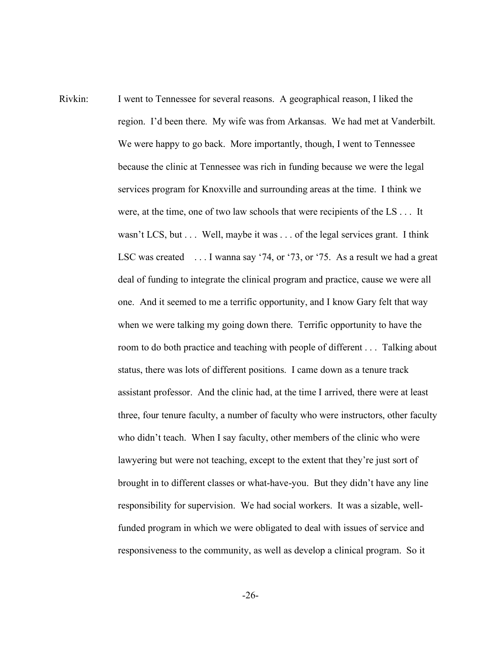Rivkin: I went to Tennessee for several reasons. A geographical reason, I liked the region. I'd been there. My wife was from Arkansas. We had met at Vanderbilt. We were happy to go back. More importantly, though, I went to Tennessee because the clinic at Tennessee was rich in funding because we were the legal services program for Knoxville and surrounding areas at the time. I think we were, at the time, one of two law schools that were recipients of the LS . . . It wasn't LCS, but . . . Well, maybe it was . . . of the legal services grant. I think LSC was created ... I wanna say '74, or '73, or '75. As a result we had a great deal of funding to integrate the clinical program and practice, cause we were all one. And it seemed to me a terrific opportunity, and I know Gary felt that way when we were talking my going down there. Terrific opportunity to have the room to do both practice and teaching with people of different . . . Talking about status, there was lots of different positions. I came down as a tenure track assistant professor. And the clinic had, at the time I arrived, there were at least three, four tenure faculty, a number of faculty who were instructors, other faculty who didn't teach. When I say faculty, other members of the clinic who were lawyering but were not teaching, except to the extent that they're just sort of brought in to different classes or what-have-you. But they didn't have any line responsibility for supervision. We had social workers. It was a sizable, wellfunded program in which we were obligated to deal with issues of service and responsiveness to the community, as well as develop a clinical program. So it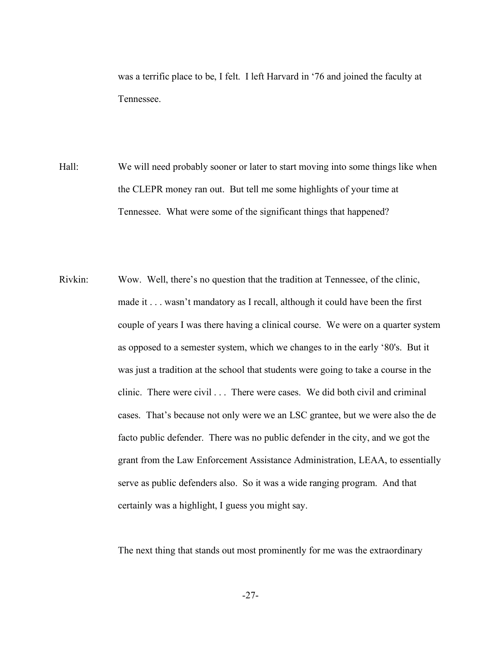was a terrific place to be, I felt. I left Harvard in '76 and joined the faculty at Tennessee.

- Hall: We will need probably sooner or later to start moving into some things like when the CLEPR money ran out. But tell me some highlights of your time at Tennessee. What were some of the significant things that happened?
- Rivkin: Wow. Well, there's no question that the tradition at Tennessee, of the clinic, made it . . . wasn't mandatory as I recall, although it could have been the first couple of years I was there having a clinical course. We were on a quarter system as opposed to a semester system, which we changes to in the early '80's. But it was just a tradition at the school that students were going to take a course in the clinic. There were civil . . . There were cases. We did both civil and criminal cases. That's because not only were we an LSC grantee, but we were also the de facto public defender. There was no public defender in the city, and we got the grant from the Law Enforcement Assistance Administration, LEAA, to essentially serve as public defenders also. So it was a wide ranging program. And that certainly was a highlight, I guess you might say.

The next thing that stands out most prominently for me was the extraordinary

-27-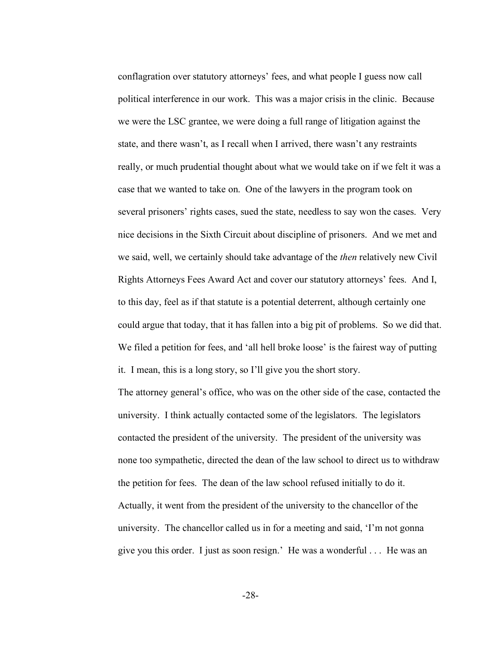conflagration over statutory attorneys' fees, and what people I guess now call political interference in our work. This was a major crisis in the clinic. Because we were the LSC grantee, we were doing a full range of litigation against the state, and there wasn't, as I recall when I arrived, there wasn't any restraints really, or much prudential thought about what we would take on if we felt it was a case that we wanted to take on. One of the lawyers in the program took on several prisoners' rights cases, sued the state, needless to say won the cases. Very nice decisions in the Sixth Circuit about discipline of prisoners. And we met and we said, well, we certainly should take advantage of the *then* relatively new Civil Rights Attorneys Fees Award Act and cover our statutory attorneys' fees. And I, to this day, feel as if that statute is a potential deterrent, although certainly one could argue that today, that it has fallen into a big pit of problems. So we did that. We filed a petition for fees, and 'all hell broke loose' is the fairest way of putting it. I mean, this is a long story, so I'll give you the short story.

The attorney general's office, who was on the other side of the case, contacted the university. I think actually contacted some of the legislators. The legislators contacted the president of the university. The president of the university was none too sympathetic, directed the dean of the law school to direct us to withdraw the petition for fees. The dean of the law school refused initially to do it. Actually, it went from the president of the university to the chancellor of the university. The chancellor called us in for a meeting and said, 'I'm not gonna give you this order. I just as soon resign.' He was a wonderful . . . He was an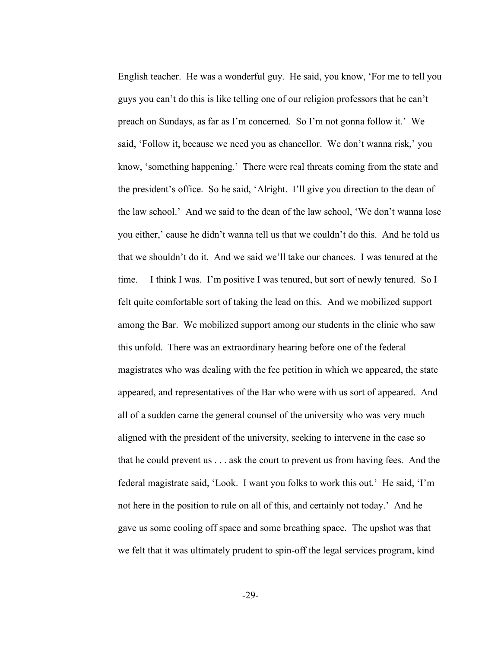English teacher. He was a wonderful guy. He said, you know, 'For me to tell you guys you can't do this is like telling one of our religion professors that he can't preach on Sundays, as far as I'm concerned. So I'm not gonna follow it.' We said, 'Follow it, because we need you as chancellor. We don't wanna risk,' you know, 'something happening.' There were real threats coming from the state and the president's office. So he said, 'Alright. I'll give you direction to the dean of the law school.' And we said to the dean of the law school, 'We don't wanna lose you either,' cause he didn't wanna tell us that we couldn't do this. And he told us that we shouldn't do it. And we said we'll take our chances. I was tenured at the time. I think I was. I'm positive I was tenured, but sort of newly tenured. So I felt quite comfortable sort of taking the lead on this. And we mobilized support among the Bar. We mobilized support among our students in the clinic who saw this unfold. There was an extraordinary hearing before one of the federal magistrates who was dealing with the fee petition in which we appeared, the state appeared, and representatives of the Bar who were with us sort of appeared. And all of a sudden came the general counsel of the university who was very much aligned with the president of the university, seeking to intervene in the case so that he could prevent us . . . ask the court to prevent us from having fees. And the federal magistrate said, 'Look. I want you folks to work this out.' He said, 'I'm not here in the position to rule on all of this, and certainly not today.' And he gave us some cooling off space and some breathing space. The upshot was that we felt that it was ultimately prudent to spin-off the legal services program, kind

-29-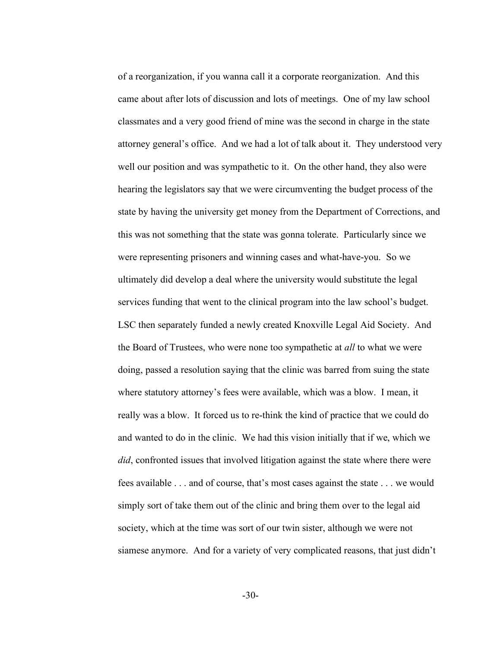of a reorganization, if you wanna call it a corporate reorganization. And this came about after lots of discussion and lots of meetings. One of my law school classmates and a very good friend of mine was the second in charge in the state attorney general's office. And we had a lot of talk about it. They understood very well our position and was sympathetic to it. On the other hand, they also were hearing the legislators say that we were circumventing the budget process of the state by having the university get money from the Department of Corrections, and this was not something that the state was gonna tolerate. Particularly since we were representing prisoners and winning cases and what-have-you. So we ultimately did develop a deal where the university would substitute the legal services funding that went to the clinical program into the law school's budget. LSC then separately funded a newly created Knoxville Legal Aid Society. And the Board of Trustees, who were none too sympathetic at *all* to what we were doing, passed a resolution saying that the clinic was barred from suing the state where statutory attorney's fees were available, which was a blow. I mean, it really was a blow. It forced us to re-think the kind of practice that we could do and wanted to do in the clinic. We had this vision initially that if we, which we *did*, confronted issues that involved litigation against the state where there were fees available . . . and of course, that's most cases against the state . . . we would simply sort of take them out of the clinic and bring them over to the legal aid society, which at the time was sort of our twin sister, although we were not siamese anymore. And for a variety of very complicated reasons, that just didn't

-30-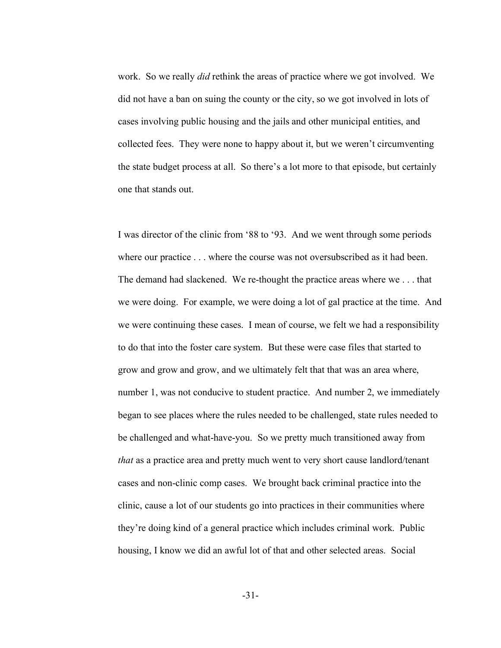work. So we really *did* rethink the areas of practice where we got involved. We did not have a ban on suing the county or the city, so we got involved in lots of cases involving public housing and the jails and other municipal entities, and collected fees. They were none to happy about it, but we weren't circumventing the state budget process at all. So there's a lot more to that episode, but certainly one that stands out.

I was director of the clinic from '88 to '93. And we went through some periods where our practice . . . where the course was not oversubscribed as it had been. The demand had slackened. We re-thought the practice areas where we . . . that we were doing. For example, we were doing a lot of gal practice at the time. And we were continuing these cases. I mean of course, we felt we had a responsibility to do that into the foster care system. But these were case files that started to grow and grow and grow, and we ultimately felt that that was an area where, number 1, was not conducive to student practice. And number 2, we immediately began to see places where the rules needed to be challenged, state rules needed to be challenged and what-have-you. So we pretty much transitioned away from *that* as a practice area and pretty much went to very short cause landlord/tenant cases and non-clinic comp cases. We brought back criminal practice into the clinic, cause a lot of our students go into practices in their communities where they're doing kind of a general practice which includes criminal work. Public housing, I know we did an awful lot of that and other selected areas. Social

-31-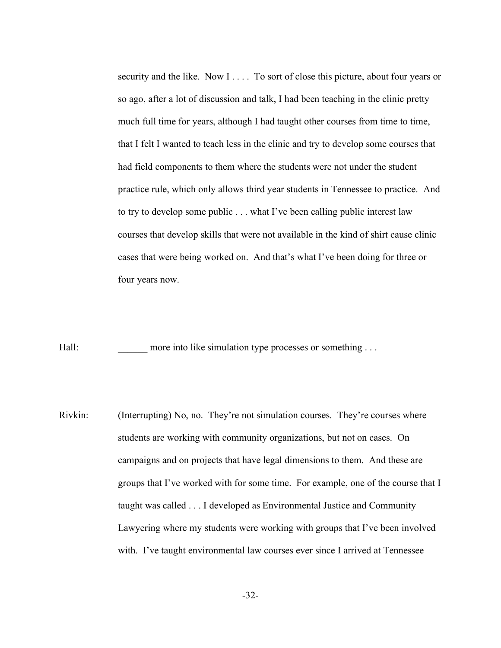security and the like. Now I . . . . To sort of close this picture, about four years or so ago, after a lot of discussion and talk, I had been teaching in the clinic pretty much full time for years, although I had taught other courses from time to time, that I felt I wanted to teach less in the clinic and try to develop some courses that had field components to them where the students were not under the student practice rule, which only allows third year students in Tennessee to practice. And to try to develop some public . . . what I've been calling public interest law courses that develop skills that were not available in the kind of shirt cause clinic cases that were being worked on. And that's what I've been doing for three or four years now.

Hall: more into like simulation type processes or something ...

Rivkin: (Interrupting) No, no. They're not simulation courses. They're courses where students are working with community organizations, but not on cases. On campaigns and on projects that have legal dimensions to them. And these are groups that I've worked with for some time. For example, one of the course that I taught was called . . . I developed as Environmental Justice and Community Lawyering where my students were working with groups that I've been involved with. I've taught environmental law courses ever since I arrived at Tennessee

-32-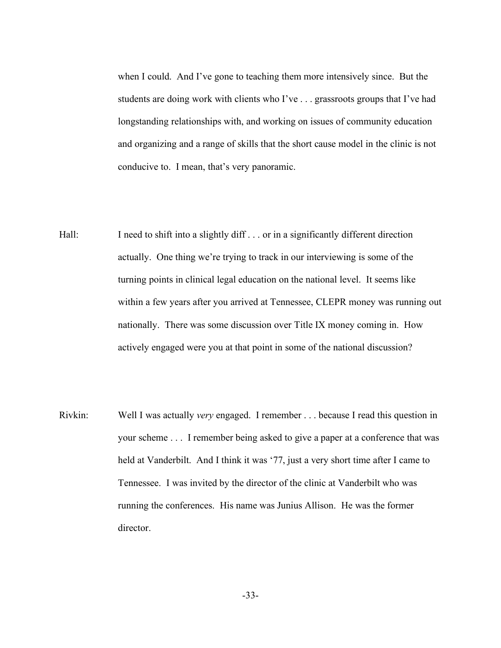when I could. And I've gone to teaching them more intensively since. But the students are doing work with clients who I've . . . grassroots groups that I've had longstanding relationships with, and working on issues of community education and organizing and a range of skills that the short cause model in the clinic is not conducive to. I mean, that's very panoramic.

- Hall: I need to shift into a slightly diff . . . or in a significantly different direction actually. One thing we're trying to track in our interviewing is some of the turning points in clinical legal education on the national level. It seems like within a few years after you arrived at Tennessee, CLEPR money was running out nationally. There was some discussion over Title IX money coming in. How actively engaged were you at that point in some of the national discussion?
- Rivkin: Well I was actually *very* engaged. I remember . . . because I read this question in your scheme . . . I remember being asked to give a paper at a conference that was held at Vanderbilt. And I think it was '77, just a very short time after I came to Tennessee. I was invited by the director of the clinic at Vanderbilt who was running the conferences. His name was Junius Allison. He was the former director.

-33-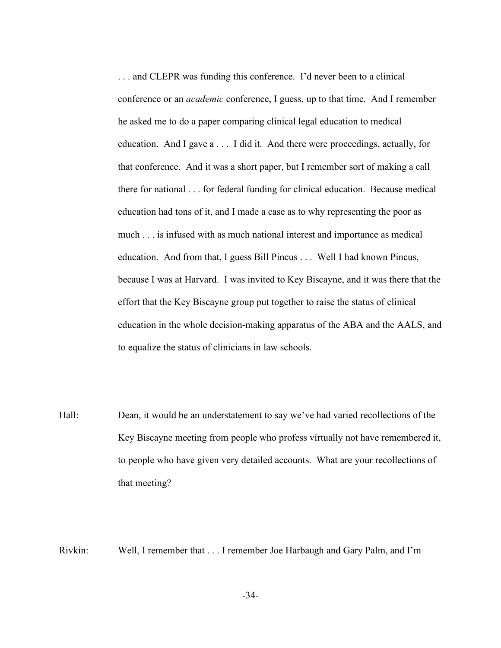. . . and CLEPR was funding this conference. I'd never been to a clinical conference or an *academic* conference, I guess, up to that time. And I remember he asked me to do a paper comparing clinical legal education to medical education. And I gave a . . . I did it. And there were proceedings, actually, for that conference. And it was a short paper, but I remember sort of making a call there for national . . . for federal funding for clinical education. Because medical education had tons of it, and I made a case as to why representing the poor as much . . . is infused with as much national interest and importance as medical education. And from that, I guess Bill Pincus . . . Well I had known Pincus, because I was at Harvard. I was invited to Key Biscayne, and it was there that the effort that the Key Biscayne group put together to raise the status of clinical education in the whole decision-making apparatus of the ABA and the AALS, and to equalize the status of clinicians in law schools.

Hall: Dean, it would be an understatement to say we've had varied recollections of the Key Biscayne meeting from people who profess virtually not have remembered it, to people who have given very detailed accounts. What are your recollections of that meeting?

Rivkin: Well, I remember that . . . I remember Joe Harbaugh and Gary Palm, and I'm

-34-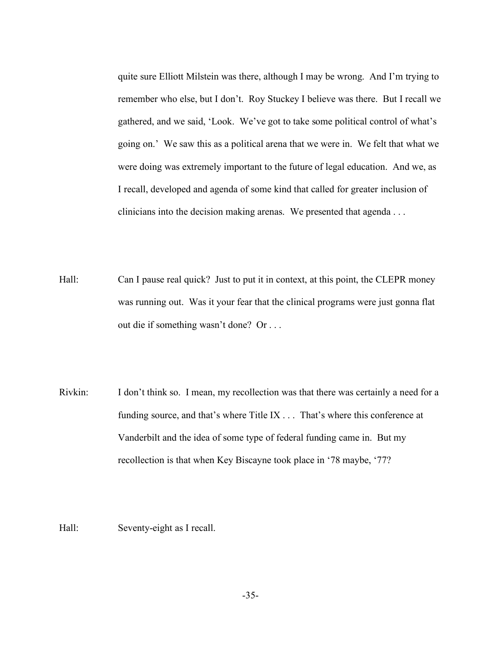quite sure Elliott Milstein was there, although I may be wrong. And I'm trying to remember who else, but I don't. Roy Stuckey I believe was there. But I recall we gathered, and we said, 'Look. We've got to take some political control of what's going on.' We saw this as a political arena that we were in. We felt that what we were doing was extremely important to the future of legal education. And we, as I recall, developed and agenda of some kind that called for greater inclusion of clinicians into the decision making arenas. We presented that agenda . . .

- Hall: Can I pause real quick? Just to put it in context, at this point, the CLEPR money was running out. Was it your fear that the clinical programs were just gonna flat out die if something wasn't done? Or . . .
- Rivkin: I don't think so. I mean, my recollection was that there was certainly a need for a funding source, and that's where Title IX . . . That's where this conference at Vanderbilt and the idea of some type of federal funding came in. But my recollection is that when Key Biscayne took place in '78 maybe, '77?

Hall: Seventy-eight as I recall.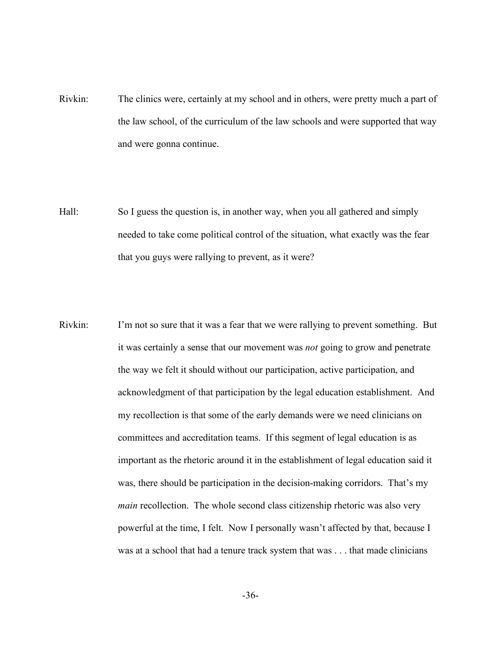- Rivkin: The clinics were, certainly at my school and in others, were pretty much a part of the law school, of the curriculum of the law schools and were supported that way and were gonna continue.
- Hall: So I guess the question is, in another way, when you all gathered and simply needed to take come political control of the situation, what exactly was the fear that you guys were rallying to prevent, as it were?
- Rivkin: I'm not so sure that it was a fear that we were rallying to prevent something. But it was certainly a sense that our movement was *not* going to grow and penetrate the way we felt it should without our participation, active participation, and acknowledgment of that participation by the legal education establishment. And my recollection is that some of the early demands were we need clinicians on committees and accreditation teams. If this segment of legal education is as important as the rhetoric around it in the establishment of legal education said it was, there should be participation in the decision-making corridors. That's my *main* recollection. The whole second class citizenship rhetoric was also very powerful at the time, I felt. Now I personally wasn't affected by that, because I was at a school that had a tenure track system that was . . . that made clinicians

-36-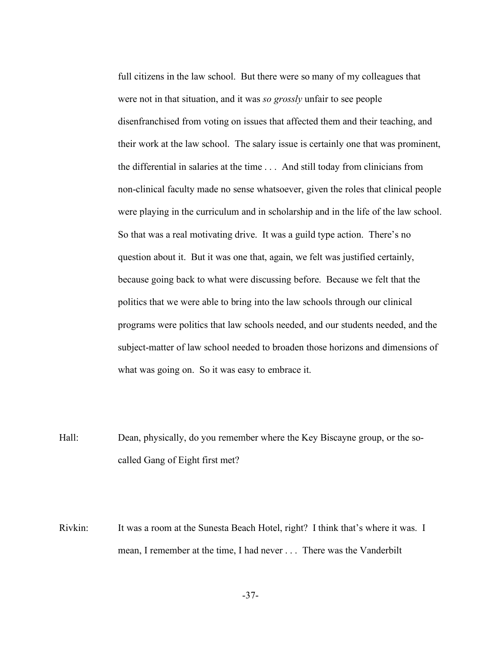full citizens in the law school. But there were so many of my colleagues that were not in that situation, and it was *so grossly* unfair to see people disenfranchised from voting on issues that affected them and their teaching, and their work at the law school. The salary issue is certainly one that was prominent, the differential in salaries at the time . . . And still today from clinicians from non-clinical faculty made no sense whatsoever, given the roles that clinical people were playing in the curriculum and in scholarship and in the life of the law school. So that was a real motivating drive. It was a guild type action. There's no question about it. But it was one that, again, we felt was justified certainly, because going back to what were discussing before. Because we felt that the politics that we were able to bring into the law schools through our clinical programs were politics that law schools needed, and our students needed, and the subject-matter of law school needed to broaden those horizons and dimensions of what was going on. So it was easy to embrace it.

Hall: Dean, physically, do you remember where the Key Biscayne group, or the socalled Gang of Eight first met?

Rivkin: It was a room at the Sunesta Beach Hotel, right? I think that's where it was. I mean, I remember at the time, I had never . . . There was the Vanderbilt

-37-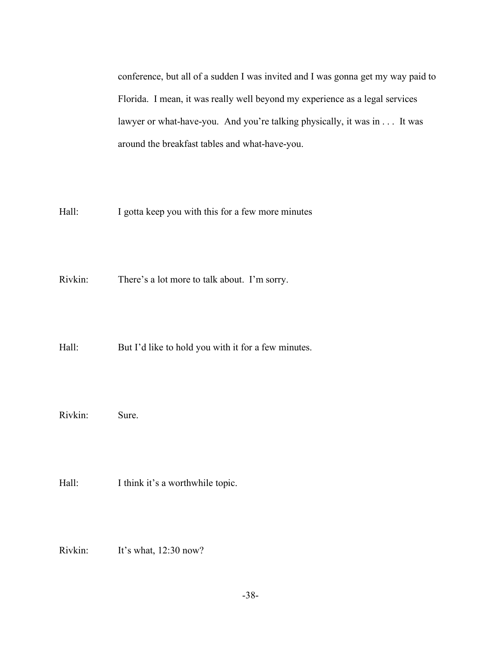conference, but all of a sudden I was invited and I was gonna get my way paid to Florida. I mean, it was really well beyond my experience as a legal services lawyer or what-have-you. And you're talking physically, it was in . . . It was around the breakfast tables and what-have-you.

Hall: I gotta keep you with this for a few more minutes

Rivkin: There's a lot more to talk about. I'm sorry.

Hall: But I'd like to hold you with it for a few minutes.

Rivkin: Sure.

Hall: I think it's a worthwhile topic.

Rivkin: It's what, 12:30 now?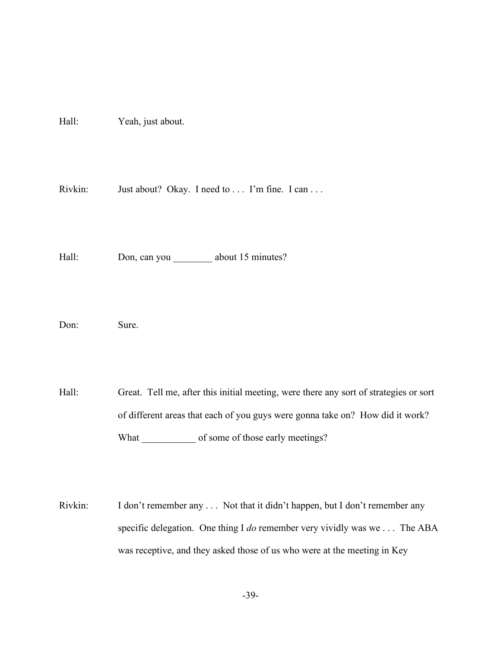Hall: Yeah, just about.

Rivkin: Just about? Okay. I need to . . . I'm fine. I can . . .

Hall: Don, can you \_\_\_\_\_\_\_\_\_ about 15 minutes?

Don: Sure.

Hall: Great. Tell me, after this initial meeting, were there any sort of strategies or sort of different areas that each of you guys were gonna take on? How did it work? What \_\_\_\_\_\_\_\_\_\_\_\_\_ of some of those early meetings?

Rivkin: I don't remember any . . . Not that it didn't happen, but I don't remember any specific delegation. One thing I *do* remember very vividly was we . . . The ABA was receptive, and they asked those of us who were at the meeting in Key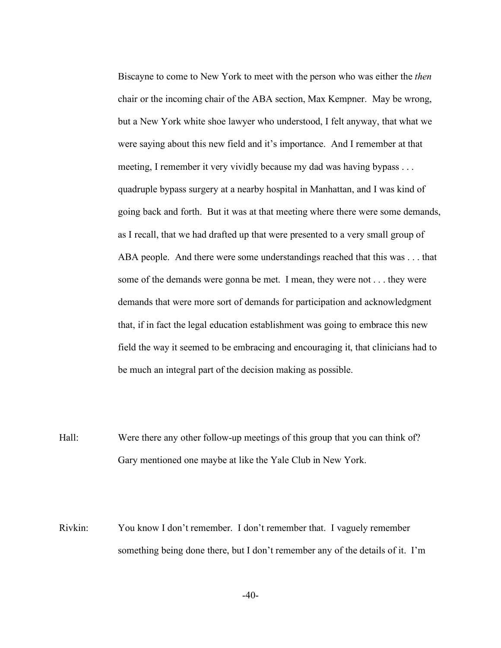Biscayne to come to New York to meet with the person who was either the *then* chair or the incoming chair of the ABA section, Max Kempner. May be wrong, but a New York white shoe lawyer who understood, I felt anyway, that what we were saying about this new field and it's importance. And I remember at that meeting, I remember it very vividly because my dad was having bypass . . . quadruple bypass surgery at a nearby hospital in Manhattan, and I was kind of going back and forth. But it was at that meeting where there were some demands, as I recall, that we had drafted up that were presented to a very small group of ABA people. And there were some understandings reached that this was . . . that some of the demands were gonna be met. I mean, they were not . . . they were demands that were more sort of demands for participation and acknowledgment that, if in fact the legal education establishment was going to embrace this new field the way it seemed to be embracing and encouraging it, that clinicians had to be much an integral part of the decision making as possible.

Hall: Were there any other follow-up meetings of this group that you can think of? Gary mentioned one maybe at like the Yale Club in New York.

Rivkin: You know I don't remember. I don't remember that. I vaguely remember something being done there, but I don't remember any of the details of it. I'm

-40-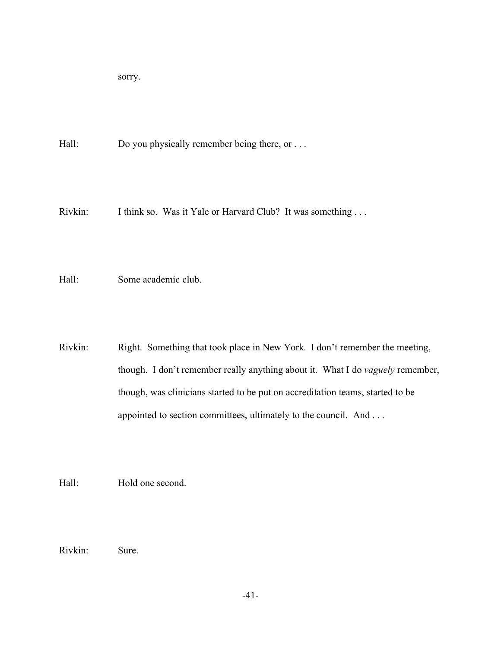sorry.

Hall: Do you physically remember being there, or ...

Rivkin: I think so. Was it Yale or Harvard Club? It was something ...

Hall: Some academic club.

Rivkin: Right. Something that took place in New York. I don't remember the meeting, though. I don't remember really anything about it. What I do *vaguely* remember, though, was clinicians started to be put on accreditation teams, started to be appointed to section committees, ultimately to the council. And . . .

Hall: Hold one second.

Rivkin: Sure.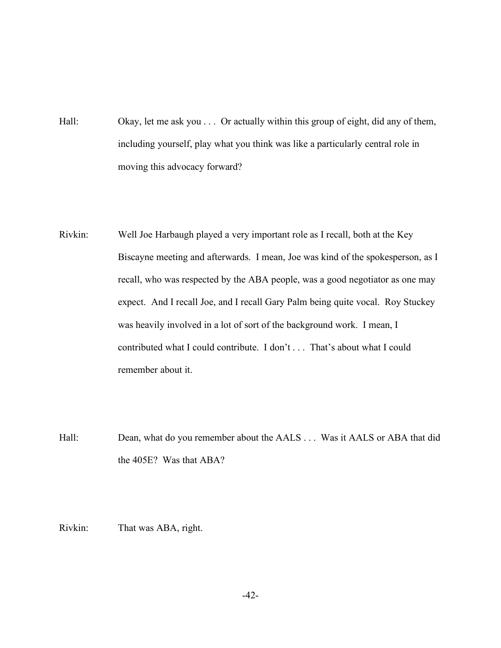- Hall: Okay, let me ask you . . . Or actually within this group of eight, did any of them, including yourself, play what you think was like a particularly central role in moving this advocacy forward?
- Rivkin: Well Joe Harbaugh played a very important role as I recall, both at the Key Biscayne meeting and afterwards. I mean, Joe was kind of the spokesperson, as I recall, who was respected by the ABA people, was a good negotiator as one may expect. And I recall Joe, and I recall Gary Palm being quite vocal. Roy Stuckey was heavily involved in a lot of sort of the background work. I mean, I contributed what I could contribute. I don't . . . That's about what I could remember about it.
- Hall: Dean, what do you remember about the AALS . . . Was it AALS or ABA that did the 405E? Was that ABA?

Rivkin: That was ABA, right.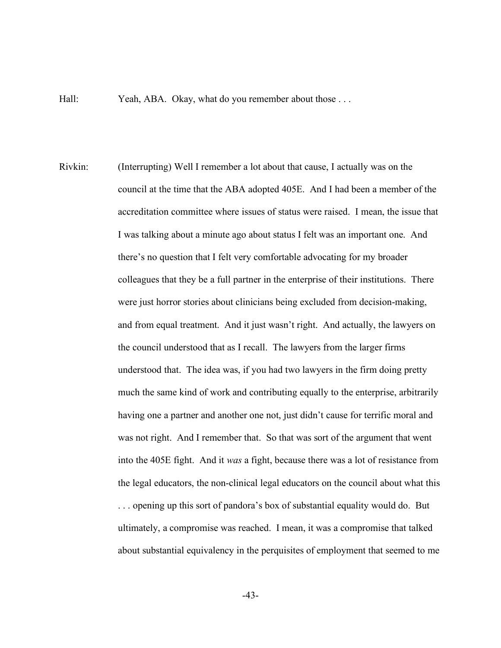Hall: Yeah, ABA. Okay, what do you remember about those ...

Rivkin: (Interrupting) Well I remember a lot about that cause, I actually was on the council at the time that the ABA adopted 405E. And I had been a member of the accreditation committee where issues of status were raised. I mean, the issue that I was talking about a minute ago about status I felt was an important one. And there's no question that I felt very comfortable advocating for my broader colleagues that they be a full partner in the enterprise of their institutions. There were just horror stories about clinicians being excluded from decision-making, and from equal treatment. And it just wasn't right. And actually, the lawyers on the council understood that as I recall. The lawyers from the larger firms understood that. The idea was, if you had two lawyers in the firm doing pretty much the same kind of work and contributing equally to the enterprise, arbitrarily having one a partner and another one not, just didn't cause for terrific moral and was not right. And I remember that. So that was sort of the argument that went into the 405E fight. And it *was* a fight, because there was a lot of resistance from the legal educators, the non-clinical legal educators on the council about what this . . . opening up this sort of pandora's box of substantial equality would do. But ultimately, a compromise was reached. I mean, it was a compromise that talked about substantial equivalency in the perquisites of employment that seemed to me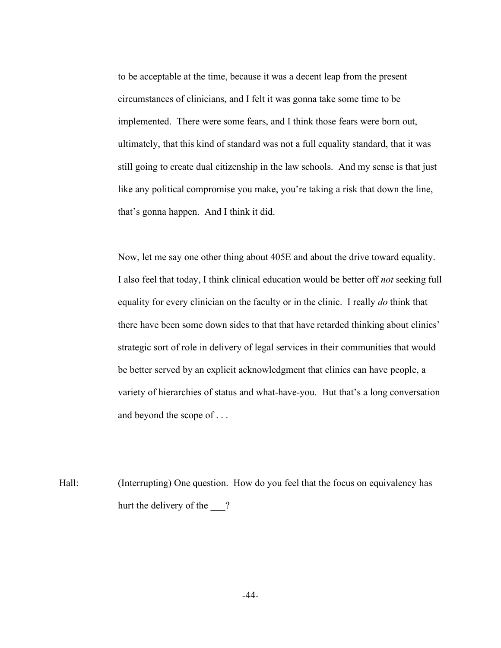to be acceptable at the time, because it was a decent leap from the present circumstances of clinicians, and I felt it was gonna take some time to be implemented. There were some fears, and I think those fears were born out, ultimately, that this kind of standard was not a full equality standard, that it was still going to create dual citizenship in the law schools. And my sense is that just like any political compromise you make, you're taking a risk that down the line, that's gonna happen. And I think it did.

Now, let me say one other thing about 405E and about the drive toward equality. I also feel that today, I think clinical education would be better off *not* seeking full equality for every clinician on the faculty or in the clinic. I really *do* think that there have been some down sides to that that have retarded thinking about clinics' strategic sort of role in delivery of legal services in their communities that would be better served by an explicit acknowledgment that clinics can have people, a variety of hierarchies of status and what-have-you. But that's a long conversation and beyond the scope of . . .

Hall: (Interrupting) One question. How do you feel that the focus on equivalency has hurt the delivery of the ?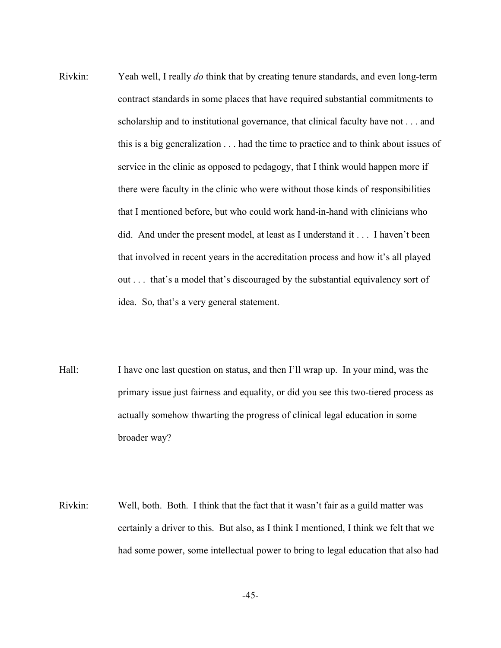- Rivkin: Yeah well, I really *do* think that by creating tenure standards, and even long-term contract standards in some places that have required substantial commitments to scholarship and to institutional governance, that clinical faculty have not . . . and this is a big generalization . . . had the time to practice and to think about issues of service in the clinic as opposed to pedagogy, that I think would happen more if there were faculty in the clinic who were without those kinds of responsibilities that I mentioned before, but who could work hand-in-hand with clinicians who did. And under the present model, at least as I understand it . . . I haven't been that involved in recent years in the accreditation process and how it's all played out . . . that's a model that's discouraged by the substantial equivalency sort of idea. So, that's a very general statement.
- Hall: I have one last question on status, and then I'll wrap up. In your mind, was the primary issue just fairness and equality, or did you see this two-tiered process as actually somehow thwarting the progress of clinical legal education in some broader way?
- Rivkin: Well, both. Both. I think that the fact that it wasn't fair as a guild matter was certainly a driver to this. But also, as I think I mentioned, I think we felt that we had some power, some intellectual power to bring to legal education that also had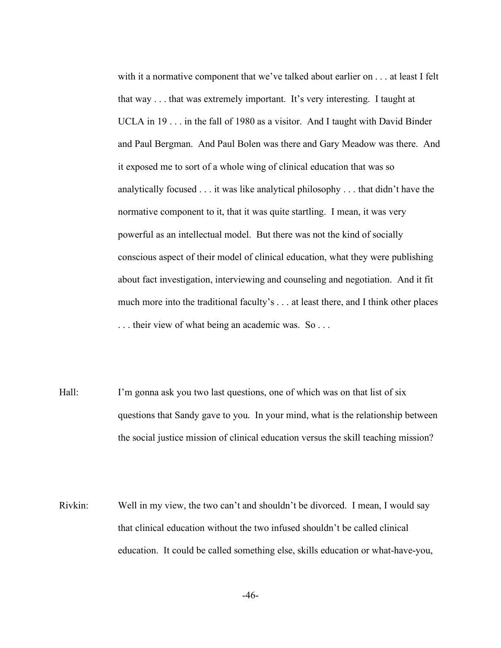with it a normative component that we've talked about earlier on . . . at least I felt that way . . . that was extremely important. It's very interesting. I taught at UCLA in 19 . . . in the fall of 1980 as a visitor. And I taught with David Binder and Paul Bergman. And Paul Bolen was there and Gary Meadow was there. And it exposed me to sort of a whole wing of clinical education that was so analytically focused . . . it was like analytical philosophy . . . that didn't have the normative component to it, that it was quite startling. I mean, it was very powerful as an intellectual model. But there was not the kind of socially conscious aspect of their model of clinical education, what they were publishing about fact investigation, interviewing and counseling and negotiation. And it fit much more into the traditional faculty's . . . at least there, and I think other places . . . their view of what being an academic was. So . . .

- Hall: I'm gonna ask you two last questions, one of which was on that list of six questions that Sandy gave to you. In your mind, what is the relationship between the social justice mission of clinical education versus the skill teaching mission?
- Rivkin: Well in my view, the two can't and shouldn't be divorced. I mean, I would say that clinical education without the two infused shouldn't be called clinical education. It could be called something else, skills education or what-have-you,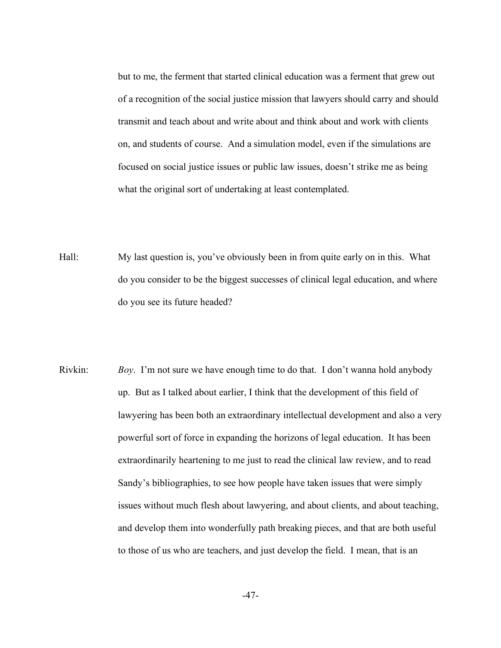but to me, the ferment that started clinical education was a ferment that grew out of a recognition of the social justice mission that lawyers should carry and should transmit and teach about and write about and think about and work with clients on, and students of course. And a simulation model, even if the simulations are focused on social justice issues or public law issues, doesn't strike me as being what the original sort of undertaking at least contemplated.

- Hall: My last question is, you've obviously been in from quite early on in this. What do you consider to be the biggest successes of clinical legal education, and where do you see its future headed?
- Rivkin: *Boy*. I'm not sure we have enough time to do that. I don't wanna hold anybody up. But as I talked about earlier, I think that the development of this field of lawyering has been both an extraordinary intellectual development and also a very powerful sort of force in expanding the horizons of legal education. It has been extraordinarily heartening to me just to read the clinical law review, and to read Sandy's bibliographies, to see how people have taken issues that were simply issues without much flesh about lawyering, and about clients, and about teaching, and develop them into wonderfully path breaking pieces, and that are both useful to those of us who are teachers, and just develop the field. I mean, that is an

-47-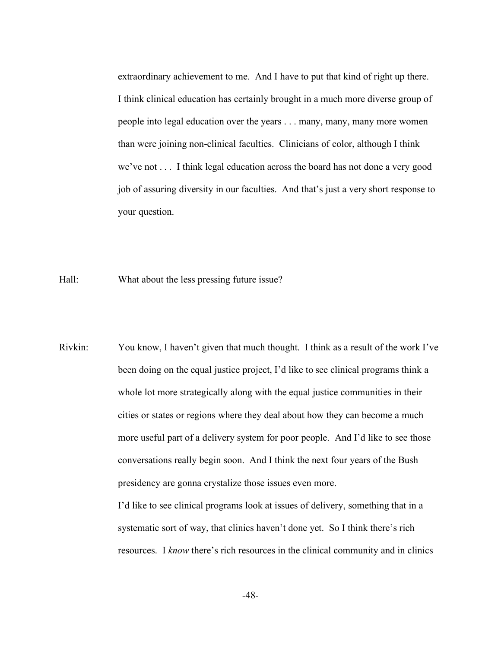extraordinary achievement to me. And I have to put that kind of right up there. I think clinical education has certainly brought in a much more diverse group of people into legal education over the years . . . many, many, many more women than were joining non-clinical faculties. Clinicians of color, although I think we've not . . . I think legal education across the board has not done a very good job of assuring diversity in our faculties. And that's just a very short response to your question.

Hall: What about the less pressing future issue?

Rivkin: You know, I haven't given that much thought. I think as a result of the work I've been doing on the equal justice project, I'd like to see clinical programs think a whole lot more strategically along with the equal justice communities in their cities or states or regions where they deal about how they can become a much more useful part of a delivery system for poor people. And I'd like to see those conversations really begin soon. And I think the next four years of the Bush presidency are gonna crystalize those issues even more.

> I'd like to see clinical programs look at issues of delivery, something that in a systematic sort of way, that clinics haven't done yet. So I think there's rich resources. I *know* there's rich resources in the clinical community and in clinics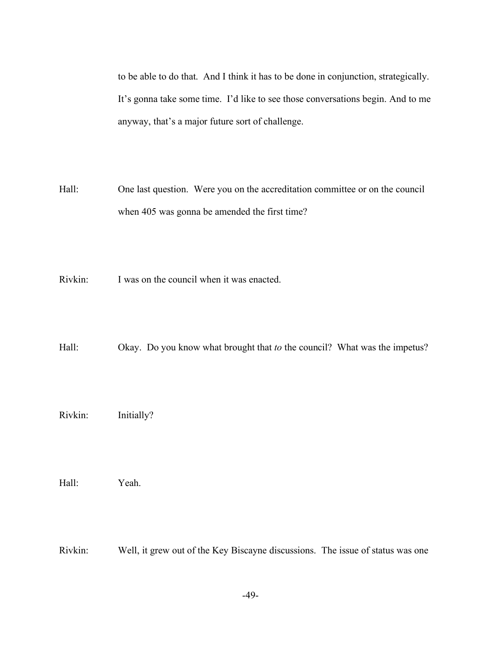to be able to do that. And I think it has to be done in conjunction, strategically. It's gonna take some time. I'd like to see those conversations begin. And to me anyway, that's a major future sort of challenge.

- Hall: One last question. Were you on the accreditation committee or on the council when 405 was gonna be amended the first time?
- Rivkin: I was on the council when it was enacted.

Hall: Okay. Do you know what brought that *to* the council? What was the impetus?

Rivkin: Initially?

Hall: Yeah.

Rivkin: Well, it grew out of the Key Biscayne discussions. The issue of status was one